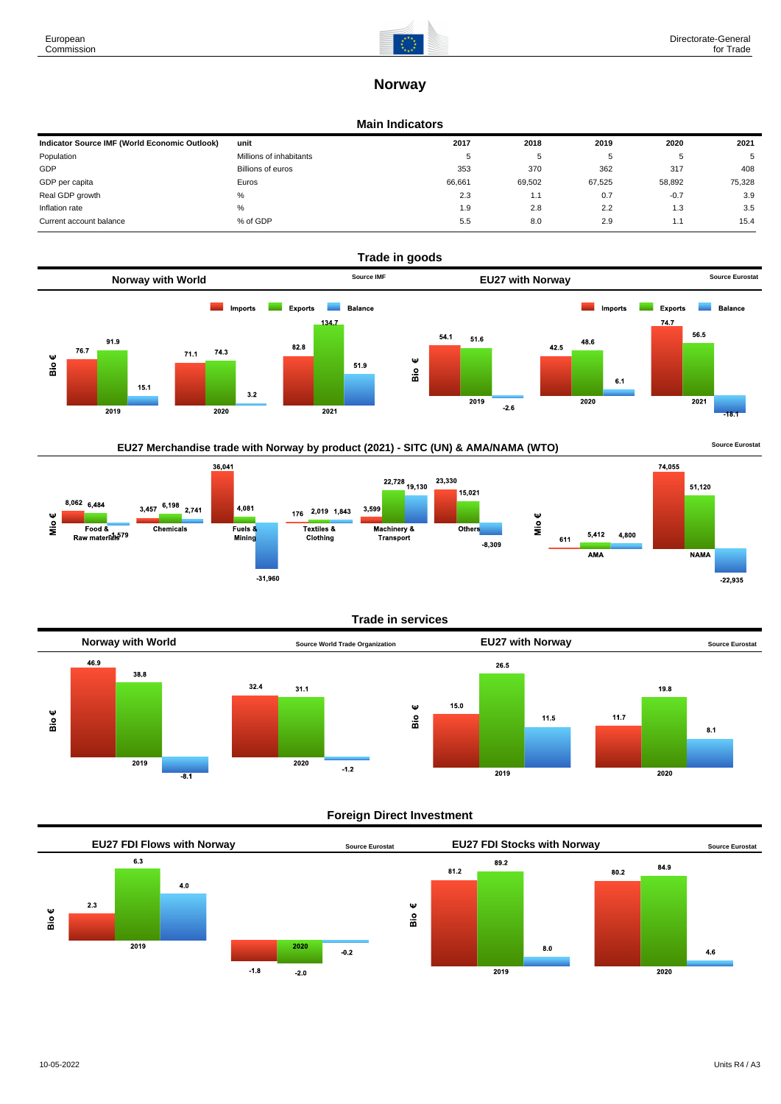

# **Norway**

#### **Main Indicators**

| Indicator Source IMF (World Economic Outlook) | unit                    | 2017   | 2018   | 2019   | 2020   | 2021   |
|-----------------------------------------------|-------------------------|--------|--------|--------|--------|--------|
| Population                                    | Millions of inhabitants | 5      | υ      |        | .b     | 5      |
| GDP                                           | Billions of euros       | 353    | 370    | 362    | 317    | 408    |
| GDP per capita                                | Euros                   | 66.661 | 69,502 | 67.525 | 58.892 | 75,328 |
| Real GDP growth                               | %                       | 2.3    | 1.1    | 0.7    | $-0.7$ | 3.9    |
| Inflation rate                                | %                       | 1.9    | 2.8    | 2.2    | 1.3    | 3.5    |
| Current account balance                       | % of GDP                | 5.5    | 8.0    | 2.9    | 1.1    | 15.4   |



# EU27 Merchandise trade with Norway by product (2021) - SITC (UN) & AMA/NAMA (WTO) **Source Eurostat**



#### **Trade in services**



### **Foreign Direct Investment**